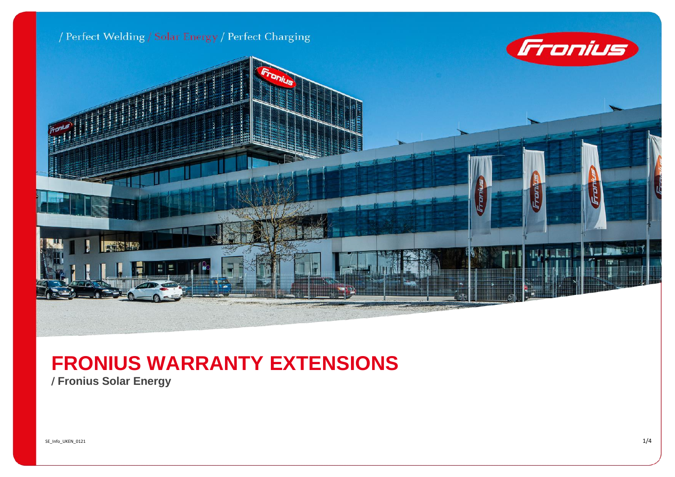

## **FRONIUS WARRANTY EXTENSIONS**

/ **Fronius Solar Energy**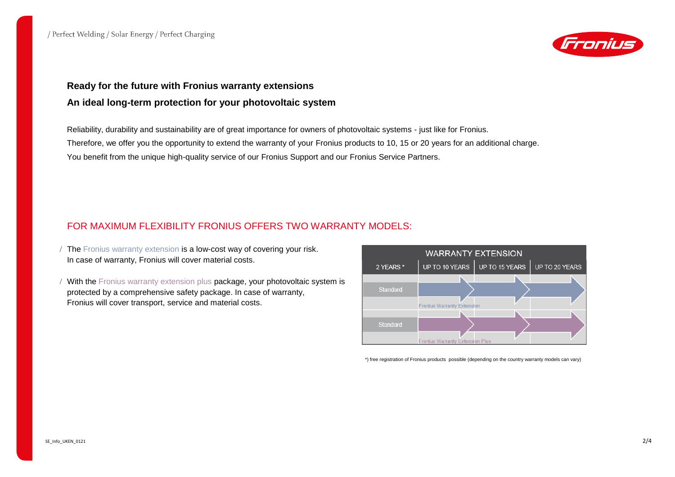

## **Ready for the future with Fronius warranty extensions An ideal long-term protection for your photovoltaic system**

Reliability, durability and sustainability are of great importance for owners of photovoltaic systems - just like for Fronius. Therefore, we offer you the opportunity to extend the warranty of your Fronius products to 10, 15 or 20 years for an additional charge. You benefit from the unique high-quality service of our Fronius Support and our Fronius Service Partners.

## FOR MAXIMUM FLEXIBILITY FRONIUS OFFERS TWO WARRANTY MODELS:

- The Fronius warranty extension is a low-cost way of covering your risk. In case of warranty, Fronius will cover material costs.
- / With the Fronius warranty extension plus package, your photovoltaic system is protected by a comprehensive safety package. In case of warranty, Fronius will cover transport, service and material costs.



\*) free registration of Fronius products possible (depending on the country warranty models can vary)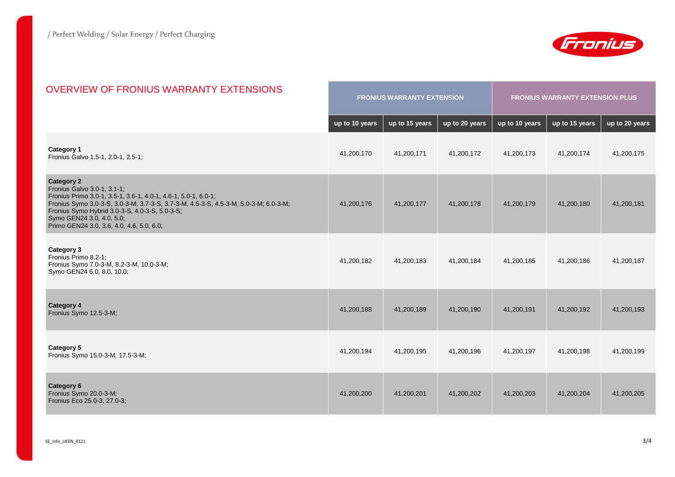

| <b>OVERVIEW OF FRONIUS WARRANTY EXTENSIONS</b>                                                                                                                                                                                                                                                                                         | <b>FRONIUS WARRANTY EXTENSION</b> |                |                | <b>FRONIUS WARRANTY EXTENSION PLUS</b> |                |                |
|----------------------------------------------------------------------------------------------------------------------------------------------------------------------------------------------------------------------------------------------------------------------------------------------------------------------------------------|-----------------------------------|----------------|----------------|----------------------------------------|----------------|----------------|
|                                                                                                                                                                                                                                                                                                                                        | up to 10 years                    | up to 15 years | up to 20 years | up to 10 years                         | up to 15 years | up to 20 years |
| <b>Category 1</b><br>Fronius Galvo 1.5-1, 2.0-1, 2.5-1;                                                                                                                                                                                                                                                                                | 41,200,170                        | 41,200,171     | 41,200,172     | 41,200,173                             | 41,200,174     | 41,200,175     |
| <b>Category 2</b><br>Fronius Galvo 3.0-1, 3.1-1;<br>Fronius Primo 3.0-1, 3.5-1, 3.6-1, 4.0-1, 4.6-1, 5.0-1, 6.0-1;<br>Fronius Symo 3.0-3-S, 3.0-3-M; 3.7-3-S, 3.7-3-M, 4.5-3-S, 4.5-3-M, 5.0-3-M; 6.0-3-M;<br>Fronius Symo Hybrid 3.0-3-S, 4.0-3-S, 5.0-3-S;<br>Symo GEN24 3.0, 4.0, 5.0;<br>Primo GEN24 3.0, 3.6, 4.0, 4.6, 5.0, 6.0; | 41,200,176                        | 41,200,177     | 41.200.178     | 41,200,179                             | 41,200,180     | 41.200.181     |
| <b>Category 3</b><br>Fronius Primo 8.2-1;<br>Fronius Symo 7.0-3-M, 8.2-3-M, 10.0-3-M;<br>Symo GEN24 6.0, 8.0, 10.0;                                                                                                                                                                                                                    | 41,200,182                        | 41,200,183     | 41,200,184     | 41,200,185                             | 41,200,186     | 41,200,187     |
| <b>Category 4</b><br>Fronius Symo 12.5-3-M;                                                                                                                                                                                                                                                                                            | 41,200,188                        | 41,200,189     | 41,200,190     | 41,200,191                             | 41,200,192     | 41,200,193     |
| <b>Category 5</b><br>Fronius Symo 15.0-3-M, 17.5-3-M;                                                                                                                                                                                                                                                                                  | 41,200,194                        | 41,200,195     | 41,200,196     | 41,200,197                             | 41,200,198     | 41,200,199     |
| <b>Category 6</b><br>Fronius Symo 20.0-3-M;<br>Fronius Eco 25.0-3, 27.0-3;                                                                                                                                                                                                                                                             | 41,200,200                        | 41,200,201     | 41.200.202     | 41,200,203                             | 41,200,204     | 41,200,205     |